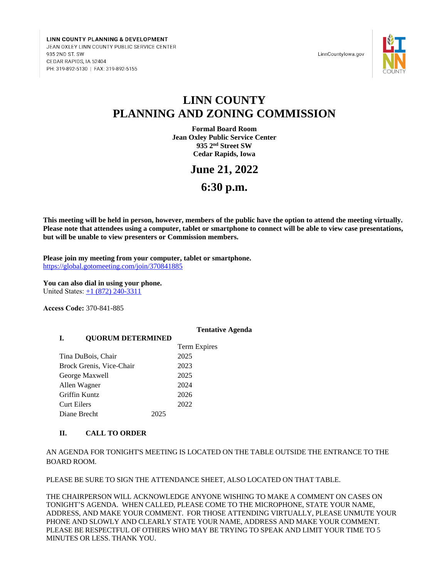LINN COUNTY PLANNING & DEVELOPMENT JEAN OXLEY LINN COUNTY PUBLIC SERVICE CENTER 935 2ND ST. SW CEDAR RAPIDS, IA 52404 PH: 319-892-5130 | FAX: 319-892-5155

LinnCountylowa.gov



# **LINN COUNTY PLANNING AND ZONING COMMISSION**

**Formal Board Room Jean Oxley Public Service Center 935 2nd Street SW Cedar Rapids, Iowa**

## **June 21, 2022**

**6:30 p.m.**

**This meeting will be held in person, however, members of the public have the option to attend the meeting virtually. Please note that attendees using a computer, tablet or smartphone to connect will be able to view case presentations, but will be unable to view presenters or Commission members.**

**Please join my meeting from your computer, tablet or smartphone.** <https://global.gotomeeting.com/join/370841885>

**You can also dial in using your phone.** United States:  $\pm 1$  (872) 240-3311

**Access Code:** 370-841-885

#### **Tentative Agenda**

#### **I. QUORUM DETERMINED**

|                          |      | Term Expires |
|--------------------------|------|--------------|
| Tina DuBois, Chair       |      | 2025         |
| Brock Grenis, Vice-Chair |      | 2023         |
| George Maxwell           |      | 2025         |
| Allen Wagner             |      | 2024         |
| Griffin Kuntz            |      | 2026         |
| Curt Eilers              |      | 2022         |
| Diane Brecht             | 2025 |              |

#### **II. CALL TO ORDER**

AN AGENDA FOR TONIGHT'S MEETING IS LOCATED ON THE TABLE OUTSIDE THE ENTRANCE TO THE BOARD ROOM.

PLEASE BE SURE TO SIGN THE ATTENDANCE SHEET, ALSO LOCATED ON THAT TABLE.

THE CHAIRPERSON WILL ACKNOWLEDGE ANYONE WISHING TO MAKE A COMMENT ON CASES ON TONIGHT'S AGENDA. WHEN CALLED, PLEASE COME TO THE MICROPHONE, STATE YOUR NAME, ADDRESS, AND MAKE YOUR COMMENT. FOR THOSE ATTENDING VIRTUALLY, PLEASE UNMUTE YOUR PHONE AND SLOWLY AND CLEARLY STATE YOUR NAME, ADDRESS AND MAKE YOUR COMMENT. PLEASE BE RESPECTFUL OF OTHERS WHO MAY BE TRYING TO SPEAK AND LIMIT YOUR TIME TO 5 MINUTES OR LESS. THANK YOU.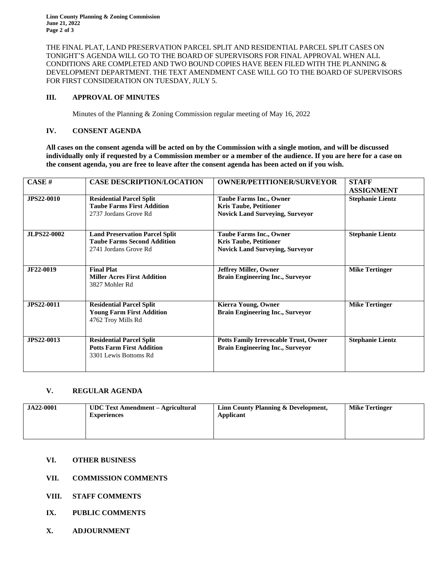**Linn County Planning & Zoning Commission June 21, 2022 Page 2 of 3**

THE FINAL PLAT, LAND PRESERVATION PARCEL SPLIT AND RESIDENTIAL PARCEL SPLIT CASES ON TONIGHT'S AGENDA WILL GO TO THE BOARD OF SUPERVISORS FOR FINAL APPROVAL WHEN ALL CONDITIONS ARE COMPLETED AND TWO BOUND COPIES HAVE BEEN FILED WITH THE PLANNING  $\&$ DEVELOPMENT DEPARTMENT. THE TEXT AMENDMENT CASE WILL GO TO THE BOARD OF SUPERVISORS FOR FIRST CONSIDERATION ON TUESDAY, JULY 5.

#### **III. APPROVAL OF MINUTES**

Minutes of the Planning & Zoning Commission regular meeting of May 16, 2022

### **IV. CONSENT AGENDA**

**All cases on the consent agenda will be acted on by the Commission with a single motion, and will be discussed individually only if requested by a Commission member or a member of the audience. If you are here for a case on the consent agenda, you are free to leave after the consent agenda has been acted on if you wish.**

| CASE#              | <b>CASE DESCRIPTION/LOCATION</b>                                                                     | <b>OWNER/PETITIONER/SURVEYOR</b>                                                                          | <b>STAFF</b><br><b>ASSIGNMENT</b> |
|--------------------|------------------------------------------------------------------------------------------------------|-----------------------------------------------------------------------------------------------------------|-----------------------------------|
| <b>JPS22-0010</b>  | <b>Residential Parcel Split</b><br><b>Taube Farms First Addition</b><br>2737 Jordans Grove Rd        | <b>Taube Farms Inc., Owner</b><br><b>Kris Taube, Petitioner</b><br><b>Novick Land Surveying, Surveyor</b> | <b>Stephanie Lientz</b>           |
| <b>JLPS22-0002</b> | <b>Land Preservation Parcel Split</b><br><b>Taube Farms Second Addition</b><br>2741 Jordans Grove Rd | <b>Taube Farms Inc., Owner</b><br><b>Kris Taube, Petitioner</b><br><b>Novick Land Surveying, Surveyor</b> | <b>Stephanie Lientz</b>           |
| JF22-0019          | <b>Final Plat</b><br><b>Miller Acres First Addition</b><br>3827 Mohler Rd                            | <b>Jeffrey Miller, Owner</b><br><b>Brain Engineering Inc., Surveyor</b>                                   | <b>Mike Tertinger</b>             |
| <b>JPS22-0011</b>  | <b>Residential Parcel Split</b><br><b>Young Farm First Addition</b><br>4762 Troy Mills Rd            | <b>Kierra Young, Owner</b><br><b>Brain Engineering Inc., Surveyor</b>                                     | <b>Mike Tertinger</b>             |
| <b>JPS22-0013</b>  | <b>Residential Parcel Split</b><br><b>Potts Farm First Addition</b><br>3301 Lewis Bottoms Rd         | <b>Potts Family Irrevocable Trust, Owner</b><br><b>Brain Engineering Inc., Surveyor</b>                   | <b>Stephanie Lientz</b>           |

#### **V. REGULAR AGENDA**

| <b>JA22-0001</b><br>UDC Text Amendment – Agricultural<br><b>Experiences</b> | Linn County Planning & Development,<br>Applicant | <b>Mike Tertinger</b> |
|-----------------------------------------------------------------------------|--------------------------------------------------|-----------------------|
|-----------------------------------------------------------------------------|--------------------------------------------------|-----------------------|

## **VI. OTHER BUSINESS**

## **VII. COMMISSION COMMENTS**

- **VIII. STAFF COMMENTS**
- **IX. PUBLIC COMMENTS**
- **X. ADJOURNMENT**